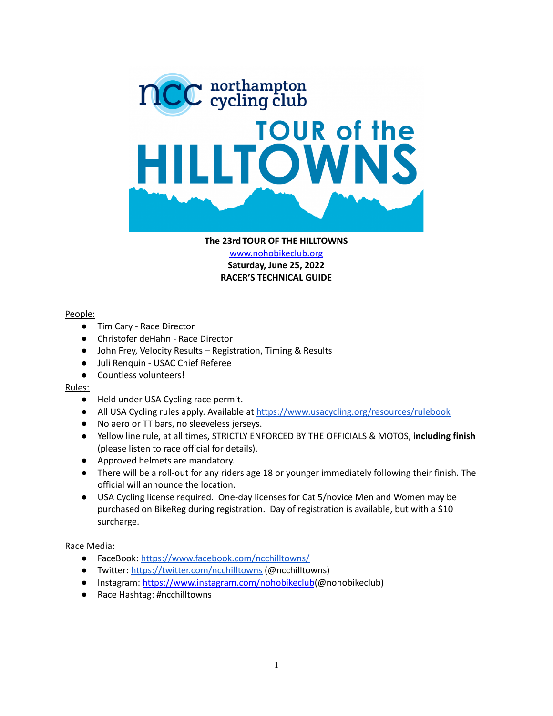

#### **The 23rd TOUR OF THE HILLTOWNS**

[www.nohobikeclub.org](http://www.nohobikeclub.org) **Saturday, June 25, 2022 RACER'S TECHNICAL GUIDE**

### People:

- Tim Cary Race Director
- Christofer deHahn Race Director
- John Frey, Velocity Results Registration, Timing & Results
- Juli Renquin USAC Chief Referee
- Countless volunteers!

### Rules:

- Held under USA Cycling race permit.
- All USA Cycling rules apply. Available at <https://www.usacycling.org/resources/rulebook>
- No aero or TT bars, no sleeveless jerseys.
- Yellow line rule, at all times, STRICTLY ENFORCED BY THE OFFICIALS & MOTOS, **including finish** (please listen to race official for details).
- Approved helmets are mandatory.
- There will be a roll-out for any riders age 18 or younger immediately following their finish. The official will announce the location.
- USA Cycling license required. One-day licenses for Cat 5/novice Men and Women may be purchased on BikeReg during registration. Day of registration is available, but with a \$10 surcharge.

### Race Media:

- FaceBook: <https://www.facebook.com/ncchilltowns/>
- Twitter: <https://twitter.com/ncchilltowns> (@ncchilltowns)
- Instagram: <https://www.instagram.com/nohobikeclub>(@nohobikeclub)
- Race Hashtag: #ncchilltowns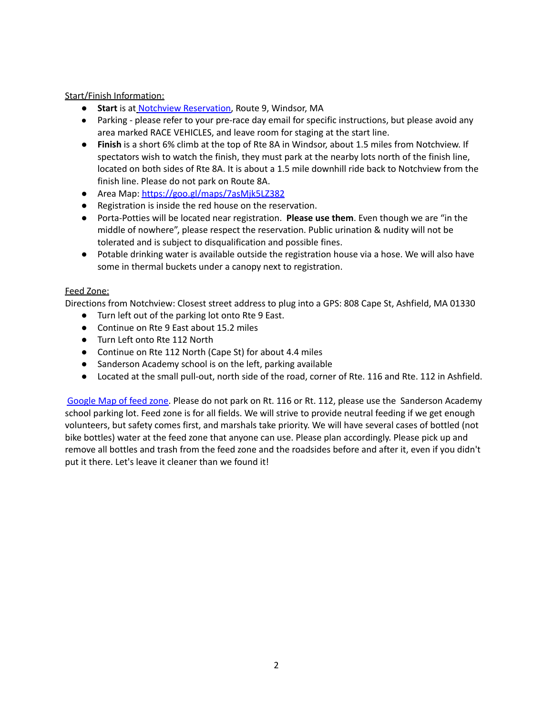## Start/Finish Information:

- **Start** is at Notchview [Reservation,](http://www.thetrustees.org/places-to-visit/berkshires/notchview.html) Route 9, Windsor, MA
- Parking please refer to your pre-race day email for specific instructions, but please avoid any area marked RACE VEHICLES, and leave room for staging at the start line.
- **Finish** is a short 6% climb at the top of Rte 8A in Windsor, about 1.5 miles from Notchview. If spectators wish to watch the finish, they must park at the nearby lots north of the finish line, located on both sides of Rte 8A. It is about a 1.5 mile downhill ride back to Notchview from the finish line. Please do not park on Route 8A.
- Area Map: <https://goo.gl/maps/7asMjk5LZ382>
- Registration is inside the red house on the reservation.
- Porta-Potties will be located near registration. **Please use them**. Even though we are "in the middle of nowhere", please respect the reservation. Public urination & nudity will not be tolerated and is subject to disqualification and possible fines.
- Potable drinking water is available outside the registration house via a hose. We will also have some in thermal buckets under a canopy next to registration.

## Feed Zone:

Directions from Notchview: Closest street address to plug into a GPS: 808 Cape St, Ashfield, MA 01330

- Turn left out of the parking lot onto Rte 9 East.
- Continue on Rte 9 East about 15.2 miles
- Turn Left onto Rte 112 North
- Continue on Rte 112 North (Cape St) for about 4.4 miles
- Sanderson Academy school is on the left, parking available
- Located at the small pull-out, north side of the road, corner of Rte. 116 and Rte. 112 in Ashfield.

[Google](https://goo.gl/maps/cvnCk3YmVZy) Map of feed zone. Please do not park on Rt. 116 or Rt. 112, please use the Sanderson Academy school parking lot. Feed zone is for all fields. We will strive to provide neutral feeding if we get enough volunteers, but safety comes first, and marshals take priority. We will have several cases of bottled (not bike bottles) water at the feed zone that anyone can use. Please plan accordingly. Please pick up and remove all bottles and trash from the feed zone and the roadsides before and after it, even if you didn't put it there. Let's leave it cleaner than we found it!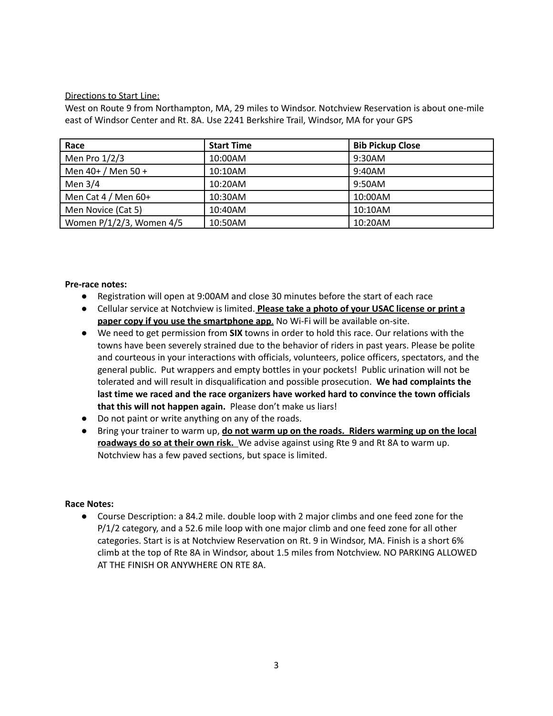## Directions to Start Line:

West on Route 9 from Northampton, MA, 29 miles to Windsor. Notchview Reservation is about one-mile east of Windsor Center and Rt. 8A. Use 2241 Berkshire Trail, Windsor, MA for your GPS

| Race                     | <b>Start Time</b> | <b>Bib Pickup Close</b> |
|--------------------------|-------------------|-------------------------|
| Men Pro $1/2/3$          | 10:00AM           | 9:30AM                  |
| Men $40+ /$ Men $50+$    | 10:10AM           | 9:40AM                  |
| Men $3/4$                | 10:20AM           | 9:50AM                  |
| Men Cat $4/$ Men $60+$   | 10:30AM           | 10:00AM                 |
| Men Novice (Cat 5)       | 10:40AM           | 10:10AM                 |
| Women P/1/2/3, Women 4/5 | 10:50AM           | 10:20AM                 |

### **Pre‐race notes:**

- Registration will open at 9:00AM and close 30 minutes before the start of each race
- Cellular service at Notchview is limited. **Please take a photo of your USAC license or print a paper copy if you use the smartphone app**. No Wi-Fi will be available on-site.
- We need to get permission from **SIX** towns in order to hold this race. Our relations with the towns have been severely strained due to the behavior of riders in past years. Please be polite and courteous in your interactions with officials, volunteers, police officers, spectators, and the general public. Put wrappers and empty bottles in your pockets! Public urination will not be tolerated and will result in disqualification and possible prosecution. **We had complaints the last time we raced and the race organizers have worked hard to convince the town officials that this will not happen again.** Please don't make us liars!
- Do not paint or write anything on any of the roads.
- Bring your trainer to warm up, **do not warm up on the roads. Riders warming up on the local roadways do so at their own risk.** We advise against using Rte 9 and Rt 8A to warm up. Notchview has a few paved sections, but space is limited.

### **Race Notes:**

● Course Description: a 84.2 mile. double loop with 2 major climbs and one feed zone for the P/1/2 category, and a 52.6 mile loop with one major climb and one feed zone for all other categories. Start is is at Notchview Reservation on Rt. 9 in Windsor, MA. Finish is a short 6% climb at the top of Rte 8A in Windsor, about 1.5 miles from Notchview. NO PARKING ALLOWED AT THE FINISH OR ANYWHERE ON RTE 8A.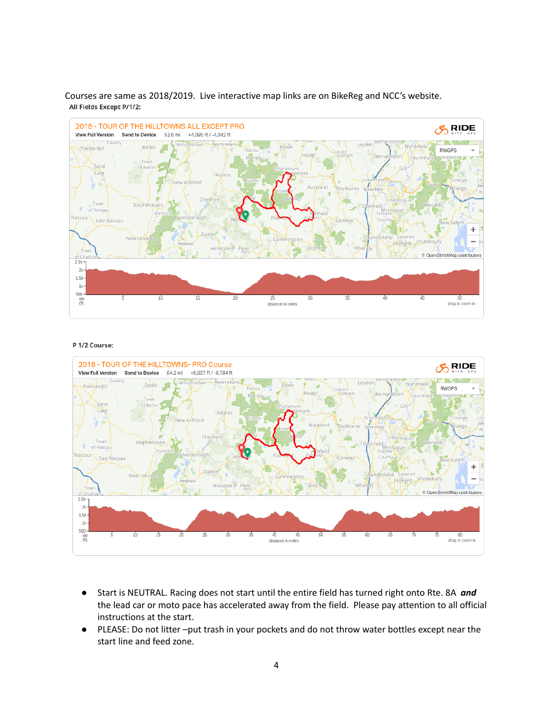



#### P 1/2 Course:



- Start is NEUTRAL. Racing does not start until the entire field has turned right onto Rte. 8A *and* the lead car or moto pace has accelerated away from the field. Please pay attention to all official instructions at the start.
- PLEASE: Do not litter –put trash in your pockets and do not throw water bottles except near the start line and feed zone.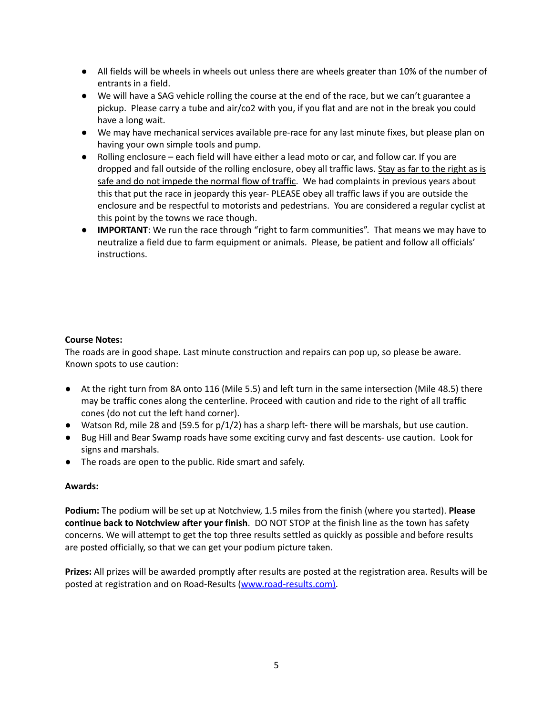- All fields will be wheels in wheels out unless there are wheels greater than 10% of the number of entrants in a field.
- We will have a SAG vehicle rolling the course at the end of the race, but we can't guarantee a pickup. Please carry a tube and air/co2 with you, if you flat and are not in the break you could have a long wait.
- We may have mechanical services available pre-race for any last minute fixes, but please plan on having your own simple tools and pump.
- Rolling enclosure each field will have either a lead moto or car, and follow car. If you are dropped and fall outside of the rolling enclosure, obey all traffic laws. Stay as far to the right as is safe and do not impede the normal flow of traffic. We had complaints in previous years about this that put the race in jeopardy this year- PLEASE obey all traffic laws if you are outside the enclosure and be respectful to motorists and pedestrians. You are considered a regular cyclist at this point by the towns we race though.
- **IMPORTANT**: We run the race through "right to farm communities". That means we may have to neutralize a field due to farm equipment or animals. Please, be patient and follow all officials' instructions.

## **Course Notes:**

The roads are in good shape. Last minute construction and repairs can pop up, so please be aware. Known spots to use caution:

- At the right turn from 8A onto 116 (Mile 5.5) and left turn in the same intersection (Mile 48.5) there may be traffic cones along the centerline. Proceed with caution and ride to the right of all traffic cones (do not cut the left hand corner).
- Watson Rd, mile 28 and (59.5 for p/1/2) has a sharp left- there will be marshals, but use caution.
- Bug Hill and Bear Swamp roads have some exciting curvy and fast descents- use caution. Look for signs and marshals.
- The roads are open to the public. Ride smart and safely.

## **Awards:**

**Podium:** The podium will be set up at Notchview, 1.5 miles from the finish (where you started). **Please continue back to Notchview after your finish**. DO NOT STOP at the finish line as the town has safety concerns. We will attempt to get the top three results settled as quickly as possible and before results are posted officially, so that we can get your podium picture taken.

**Prizes:** All prizes will be awarded promptly after results are posted at the registration area. Results will be posted at registration and on Road-Results [\(www.road-results.com\).](http://www.road-results.com)